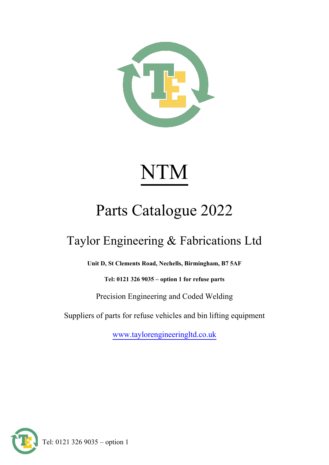

# NTM

# Parts Catalogue 2022

### Taylor Engineering & Fabrications Ltd

**Unit D, St Clements Road, Nechells, Birmingham, B7 5AF**

**Tel: 0121 326 9035 – option 1 for refuse parts**

Precision Engineering and Coded Welding

Suppliers of parts for refuse vehicles and bin lifting equipment

[www.taylorengineeringltd.co.uk](http://www.taylorengineeringltd.co.uk/)



Tel: 0121 326 9035 – option 1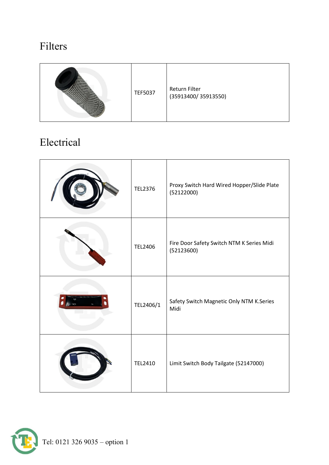#### Filters



#### Electrical

| <b>TEL2376</b> | Proxy Switch Hard Wired Hopper/Slide Plate<br>(52122000) |
|----------------|----------------------------------------------------------|
| <b>TEL2406</b> | Fire Door Safety Switch NTM K Series Midi<br>(52123600)  |
| TEL2406/1      | Safety Switch Magnetic Only NTM K.Series<br>Midi         |
| <b>TEL2410</b> | Limit Switch Body Tailgate (52147000)                    |

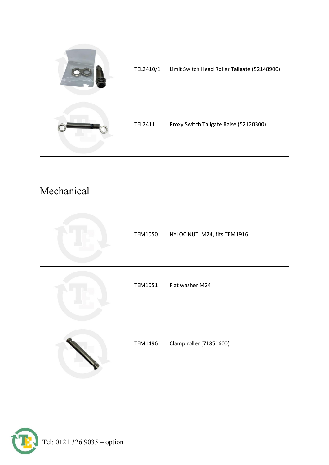| TEL2410/1 | Limit Switch Head Roller Tailgate (52148900) |
|-----------|----------------------------------------------|
| TEL2411   | Proxy Switch Tailgate Raise (52120300)       |

#### Mechanical

| <b>TEM1050</b> | NYLOC NUT, M24, fits TEM1916 |
|----------------|------------------------------|
| TEM1051        | Flat washer M24              |
| <b>TEM1496</b> | Clamp roller (71851600)      |

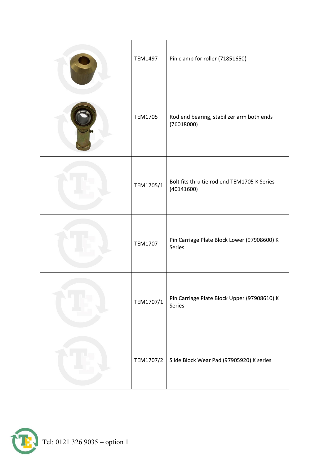| <b>TEM1497</b> | Pin clamp for roller (71851650)                           |
|----------------|-----------------------------------------------------------|
| <b>TEM1705</b> | Rod end bearing, stabilizer arm both ends<br>(76018000)   |
| TEM1705/1      | Bolt fits thru tie rod end TEM1705 K Series<br>(40141600) |
| <b>TEM1707</b> | Pin Carriage Plate Block Lower (97908600) K<br>Series     |
| TEM1707/1      | Pin Carriage Plate Block Upper (97908610) K<br>Series     |
| TEM1707/2      | Slide Block Wear Pad (97905920) K series                  |

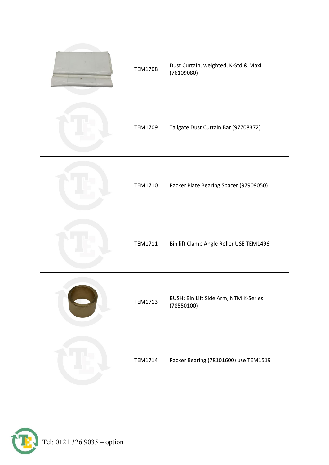| <b>TEM1708</b> | Dust Curtain, weighted, K-Std & Maxi<br>(76109080)  |
|----------------|-----------------------------------------------------|
| TEM1709        | Tailgate Dust Curtain Bar (97708372)                |
| TEM1710        | Packer Plate Bearing Spacer (97909050)              |
| <b>TEM1711</b> | Bin lift Clamp Angle Roller USE TEM1496             |
| <b>TEM1713</b> | BUSH; Bin Lift Side Arm, NTM K-Series<br>(78550100) |
| <b>TEM1714</b> | Packer Bearing (78101600) use TEM1519               |

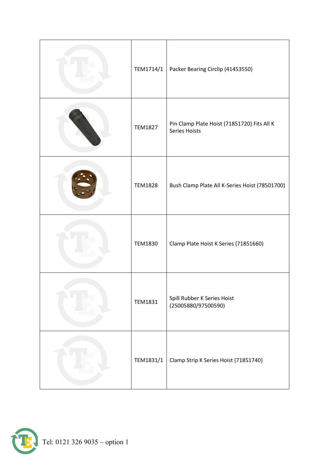| TEM1714/1      | Packer Bearing Circlip (41453550)                                   |
|----------------|---------------------------------------------------------------------|
| <b>TEM1827</b> | Pin Clamp Plate Hoist (71851720) Fits All K<br><b>Series Hoists</b> |
| <b>TEM1828</b> | Bush Clamp Plate All K-Series Hoist (78501700)                      |
| <b>TEM1830</b> | Clamp Plate Hoist K Series (71851660)                               |
| <b>TEM1831</b> | Spill Rubber K Series Hoist<br>(25005880/97500590)                  |
| TEM1831/1      | Clamp Strip K Series Hoist (71851740)                               |

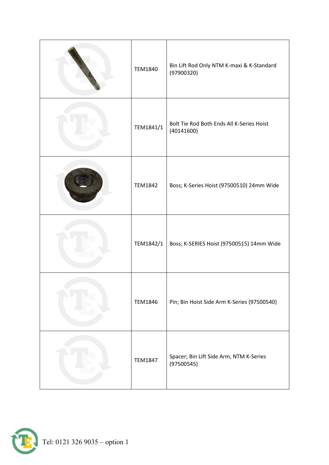| <b>TEM1840</b> | Bin Lift Rod Only NTM K-maxi & K-Standard<br>(97900320) |
|----------------|---------------------------------------------------------|
| TEM1841/1      | Bolt Tie Rod Both Ends All K-Series Hoist<br>(40141600) |
| <b>TEM1842</b> | Boss; K-Series Hoist (97500510) 24mm Wide               |
| TEM1842/1      | Boss; K-SERIES Hoist (97500515) 14mm Wide               |
| <b>TEM1846</b> | Pin; Bin Hoist Side Arm K-Series (97500540)             |
| <b>TEM1847</b> | Spacer; Bin Lift Side Arm, NTM K-Series<br>(97500545)   |

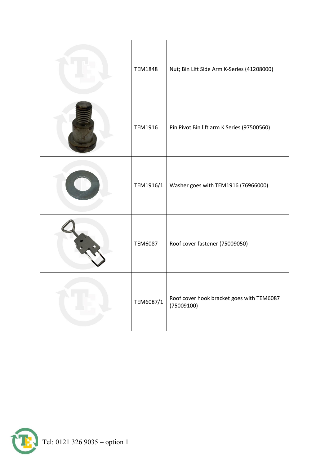| <b>TEM1848</b> | Nut; Bin Lift Side Arm K-Series (41208000)              |
|----------------|---------------------------------------------------------|
| <b>TEM1916</b> | Pin Pivot Bin lift arm K Series (97500560)              |
| TEM1916/1      | Washer goes with TEM1916 (76966000)                     |
| <b>TEM6087</b> | Roof cover fastener (75009050)                          |
| TEM6087/1      | Roof cover hook bracket goes with TEM6087<br>(75009100) |